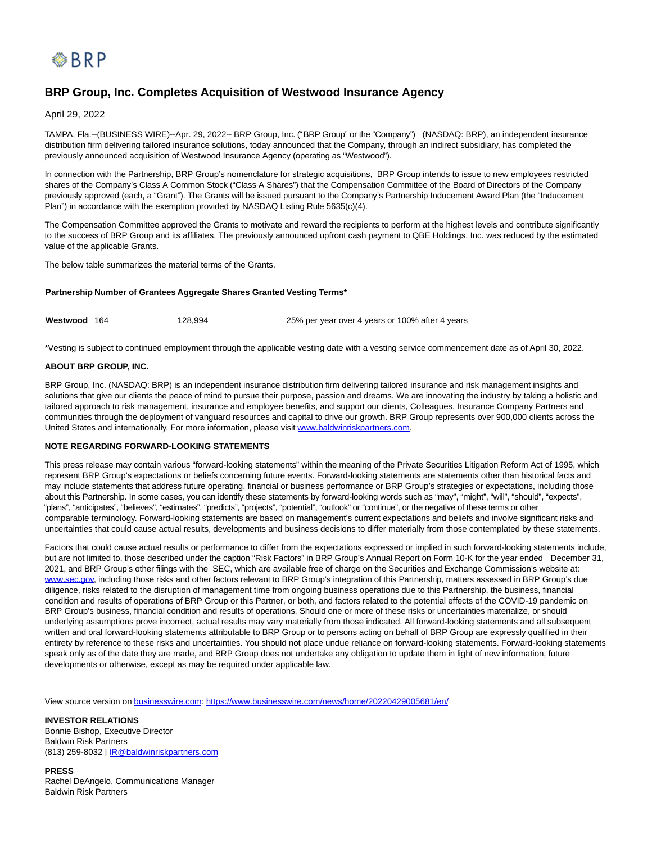

## **BRP Group, Inc. Completes Acquisition of Westwood Insurance Agency**

April 29, 2022

TAMPA, Fla.--(BUSINESS WIRE)--Apr. 29, 2022-- BRP Group, Inc. ("BRP Group" or the "Company") (NASDAQ: BRP), an independent insurance distribution firm delivering tailored insurance solutions, today announced that the Company, through an indirect subsidiary, has completed the previously announced acquisition of Westwood Insurance Agency (operating as "Westwood").

In connection with the Partnership, BRP Group's nomenclature for strategic acquisitions, BRP Group intends to issue to new employees restricted shares of the Company's Class A Common Stock ("Class A Shares") that the Compensation Committee of the Board of Directors of the Company previously approved (each, a "Grant"). The Grants will be issued pursuant to the Company's Partnership Inducement Award Plan (the "Inducement Plan") in accordance with the exemption provided by NASDAQ Listing Rule 5635(c)(4).

The Compensation Committee approved the Grants to motivate and reward the recipients to perform at the highest levels and contribute significantly to the success of BRP Group and its affiliates. The previously announced upfront cash payment to QBE Holdings, Inc. was reduced by the estimated value of the applicable Grants.

The below table summarizes the material terms of the Grants.

## **Partnership Number of Grantees Aggregate Shares Granted Vesting Terms\***

| Westwood 164<br>128,994 | 25% per year over 4 years or 100% after 4 years |
|-------------------------|-------------------------------------------------|
|-------------------------|-------------------------------------------------|

\*Vesting is subject to continued employment through the applicable vesting date with a vesting service commencement date as of April 30, 2022.

## **ABOUT BRP GROUP, INC.**

BRP Group, Inc. (NASDAQ: BRP) is an independent insurance distribution firm delivering tailored insurance and risk management insights and solutions that give our clients the peace of mind to pursue their purpose, passion and dreams. We are innovating the industry by taking a holistic and tailored approach to risk management, insurance and employee benefits, and support our clients, Colleagues, Insurance Company Partners and communities through the deployment of vanguard resources and capital to drive our growth. BRP Group represents over 900,000 clients across the United States and internationally. For more information, please visit [www.baldwinriskpartners.com.](https://cts.businesswire.com/ct/CT?id=smartlink&url=http%3A%2F%2Fwww.baldwinriskpartners.com&esheet=52702867&newsitemid=20220429005681&lan=en-US&anchor=www.baldwinriskpartners.com&index=1&md5=a0842bb6f8ec13e82920d047d0abc9a0)

## **NOTE REGARDING FORWARD-LOOKING STATEMENTS**

This press release may contain various "forward-looking statements" within the meaning of the Private Securities Litigation Reform Act of 1995, which represent BRP Group's expectations or beliefs concerning future events. Forward-looking statements are statements other than historical facts and may include statements that address future operating, financial or business performance or BRP Group's strategies or expectations, including those about this Partnership. In some cases, you can identify these statements by forward-looking words such as "may", "might", "will", "should", "expects", "plans", "anticipates", "believes", "estimates", "predicts", "projects", "potential", "outlook" or "continue", or the negative of these terms or other comparable terminology. Forward-looking statements are based on management's current expectations and beliefs and involve significant risks and uncertainties that could cause actual results, developments and business decisions to differ materially from those contemplated by these statements.

Factors that could cause actual results or performance to differ from the expectations expressed or implied in such forward-looking statements include, but are not limited to, those described under the caption "Risk Factors" in BRP Group's Annual Report on Form 10-K for the year ended December 31, 2021, and BRP Group's other filings with the SEC, which are available free of charge on the Securities and Exchange Commission's website at: [www.sec.gov,](https://cts.businesswire.com/ct/CT?id=smartlink&url=http%3A%2F%2Fwww.sec.gov&esheet=52702867&newsitemid=20220429005681&lan=en-US&anchor=www.sec.gov&index=2&md5=b3250ba658ce06aa4951d48628d90749) including those risks and other factors relevant to BRP Group's integration of this Partnership, matters assessed in BRP Group's due diligence, risks related to the disruption of management time from ongoing business operations due to this Partnership, the business, financial condition and results of operations of BRP Group or this Partner, or both, and factors related to the potential effects of the COVID-19 pandemic on BRP Group's business, financial condition and results of operations. Should one or more of these risks or uncertainties materialize, or should underlying assumptions prove incorrect, actual results may vary materially from those indicated. All forward-looking statements and all subsequent written and oral forward-looking statements attributable to BRP Group or to persons acting on behalf of BRP Group are expressly qualified in their entirety by reference to these risks and uncertainties. You should not place undue reliance on forward-looking statements. Forward-looking statements speak only as of the date they are made, and BRP Group does not undertake any obligation to update them in light of new information, future developments or otherwise, except as may be required under applicable law.

View source version on [businesswire.com:](http://businesswire.com/)<https://www.businesswire.com/news/home/20220429005681/en/>

**INVESTOR RELATIONS** Bonnie Bishop, Executive Director Baldwin Risk Partners (813) 259-8032 | [IR@baldwinriskpartners.com](mailto:IR@baldwinriskpartners.com)

**PRESS** Rachel DeAngelo, Communications Manager Baldwin Risk Partners